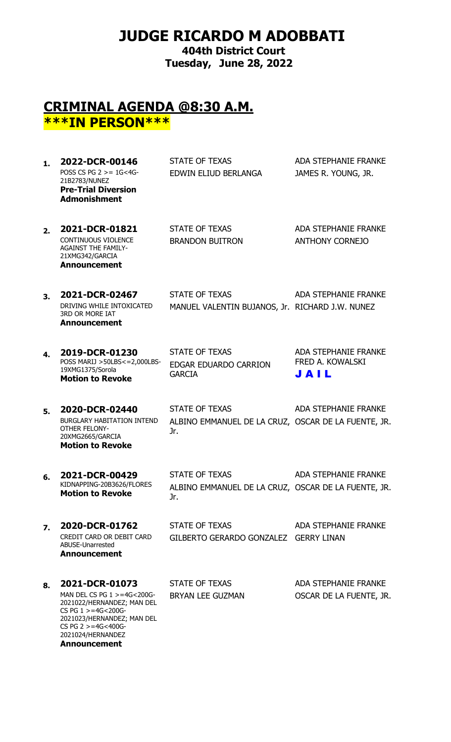## **JUDGE RICARDO M ADOBBATI**

**404th District Court Tuesday, June 28, 2022**

#### **CRIMINAL AGENDA @8:30 A.M. \*\*\*IN PERSON\*\*\***

1. **2022-DCR-00146** STATE OF TEXAS ADA STEPHANIE FRANKE POSS CS PG  $2 > 1$  G  $< 4$ G-21B2783/NUNEZ EDWIN ELIUD BERLANGA JAMES R. YOUNG, JR. **Pre-Trial Diversion Admonishment**

2. **2021-DCR-01821** STATE OF TEXAS ADA STEPHANIE FRANKE CONTINUOUS VIOLENCE AGAINST THE FAMILY-21XMG342/GARCIA **Announcement**

BRANDON BUITRON ANTHONY CORNEJO

**3. 2021-DCR-02467** STATE OF TEXAS ADA STEPHANIE FRANKE DRIVING WHILE INTOXICATED 3RD OR MORE IAT MANUEL VALENTIN BUJANOS, Jr. RICHARD J.W. NUNEZ

**4. 2019-DCR-01230** POSS MARIJ >50LBS<=2,000LBS-EDGAR EDUARDO CARRION 19XMG1375/Sorola **Motion to Revoke** GARCIA

STATE OF TEXAS ADA STEPHANIE FRANKE FRED A. KOWALSKI J A I L

BURGLARY HABITATION INTEND OTHER FELONY-20XMG2665/GARCIA Jr. **Motion to Revoke**

**Announcement**

**5. 2020-DCR-02440** STATE OF TEXAS ADA STEPHANIE FRANKE ALBINO EMMANUEL DE LA CRUZ, OSCAR DE LA FUENTE, JR.

- **6. 2021-DCR-00429** KIDNAPPING-20B3626/FLORES **Motion to Revoke**  STATE OF TEXAS ADA STEPHANIE FRANKE ALBINO EMMANUEL DE LA CRUZ, OSCAR DE LA FUENTE, JR. Jr.
- **7. 2020-DCR-01762** STATE OF TEXAS ADA STEPHANIE FRANKE CREDIT CARD OR DEBIT CARD ABUSE-Unarrested GILBERTO GERARDO GONZALEZ GERRY LINAN
- 8. **2021-DCR-01073** STATE OF TEXAS ADA STEPHANIE FRANKE MAN DEL CS PG  $1 > 4G < 200G$ -2021022/HERNANDEZ; MAN DEL CS PG  $1 > = 4$ G<200G-2021023/HERNANDEZ; MAN DEL CS PG 2 >=4G<400G-2021024/HERNANDEZ **Announcement**

**Announcement**

BRYAN LEE GUZMAN OSCAR DE LA FUENTE, JR.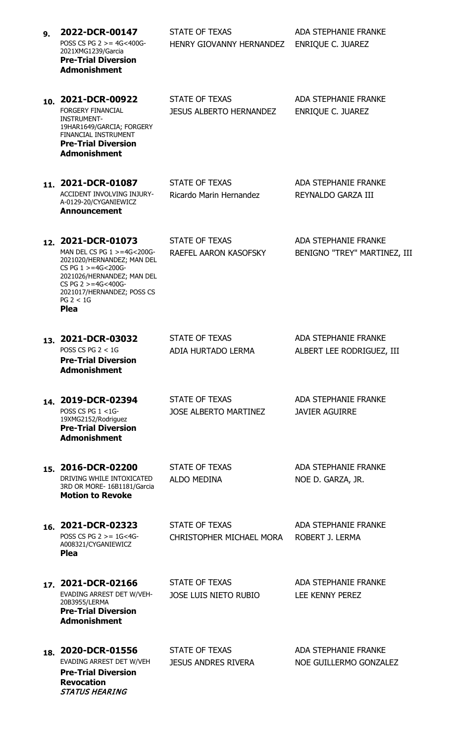| 9. | 2022-DCR-00147<br>POSS CS PG $2 > = 4G < 400G$<br>2021XMG1239/Garcia<br><b>Pre-Trial Diversion</b><br><b>Admonishment</b>                                                                                                         | <b>STATE OF TEXAS</b><br>HENRY GIOVANNY HERNANDEZ       | <b>ADA STEPHANIE FRANKE</b><br><b>ENRIQUE C. JUAREZ</b>     |
|----|-----------------------------------------------------------------------------------------------------------------------------------------------------------------------------------------------------------------------------------|---------------------------------------------------------|-------------------------------------------------------------|
|    | 10. 2021-DCR-00922<br><b>FORGERY FINANCIAL</b><br><b>INSTRUMENT-</b><br>19HAR1649/GARCIA; FORGERY<br>FINANCIAL INSTRUMENT<br><b>Pre-Trial Diversion</b><br><b>Admonishment</b>                                                    | <b>STATE OF TEXAS</b><br><b>JESUS ALBERTO HERNANDEZ</b> | <b>ADA STEPHANIE FRANKE</b><br><b>ENRIQUE C. JUAREZ</b>     |
|    | 11. 2021-DCR-01087<br>ACCIDENT INVOLVING INJURY-<br>A-0129-20/CYGANIEWICZ<br><b>Announcement</b>                                                                                                                                  | <b>STATE OF TEXAS</b><br>Ricardo Marin Hernandez        | <b>ADA STEPHANIE FRANKE</b><br>REYNALDO GARZA III           |
|    | 12. 2021-DCR-01073<br>MAN DEL CS PG $1 > = 4G < 200G$<br>2021020/HERNANDEZ; MAN DEL<br>CS PG $1 > = 4G < 200G$<br>2021026/HERNANDEZ; MAN DEL<br>CS PG $2 > = 4G < 400G$<br>2021017/HERNANDEZ; POSS CS<br>PG 2 < 1G<br><b>Plea</b> | STATE OF TEXAS<br>RAEFEL AARON KASOFSKY                 | <b>ADA STEPHANIE FRANKE</b><br>BENIGNO "TREY" MARTINEZ, III |
|    | 13. 2021-DCR-03032<br>POSS CS PG $2 < 1$ G<br><b>Pre-Trial Diversion</b><br><b>Admonishment</b>                                                                                                                                   | <b>STATE OF TEXAS</b><br>ADIA HURTADO LERMA             | <b>ADA STEPHANIE FRANKE</b><br>ALBERT LEE RODRIGUEZ, III    |
|    | 14. 2019-DCR-02394<br>POSS CS PG 1 <1G-<br>19XMG2152/Rodriguez<br><b>Pre-Trial Diversion</b><br><b>Admonishment</b>                                                                                                               | STATE OF TEXAS<br><b>JOSE ALBERTO MARTINEZ</b>          | <b>ADA STEPHANIE FRANKE</b><br><b>JAVIER AGUIRRE</b>        |
|    | 15. 2016-DCR-02200<br>DRIVING WHILE INTOXICATED<br>3RD OR MORE- 16B1181/Garcia<br><b>Motion to Revoke</b>                                                                                                                         | <b>STATE OF TEXAS</b><br><b>ALDO MEDINA</b>             | <b>ADA STEPHANIE FRANKE</b><br>NOE D. GARZA, JR.            |
|    | 16. 2021-DCR-02323<br>POSS CS PG $2 > = 1$ G<4G-<br>A008321/CYGANIEWICZ<br><b>Plea</b>                                                                                                                                            | STATE OF TEXAS<br>CHRISTOPHER MICHAEL MORA              | <b>ADA STEPHANIE FRANKE</b><br>ROBERT J. LERMA              |
|    | 17. 2021-DCR-02166<br>EVADING ARREST DET W/VEH-<br>20B3955/LERMA<br><b>Pre-Trial Diversion</b><br><b>Admonishment</b>                                                                                                             | <b>STATE OF TEXAS</b><br><b>JOSE LUIS NIETO RUBIO</b>   | <b>ADA STEPHANIE FRANKE</b><br><b>LEE KENNY PEREZ</b>       |
|    | 18. 2020-DCR-01556<br>EVADING ARREST DET W/VEH<br><b>Pre-Trial Diversion</b><br><b>Revocation</b><br><b>STATUS HEARING</b>                                                                                                        | STATE OF TEXAS<br><b>JESUS ANDRES RIVERA</b>            | <b>ADA STEPHANIE FRANKE</b><br>NOE GUILLERMO GONZALEZ       |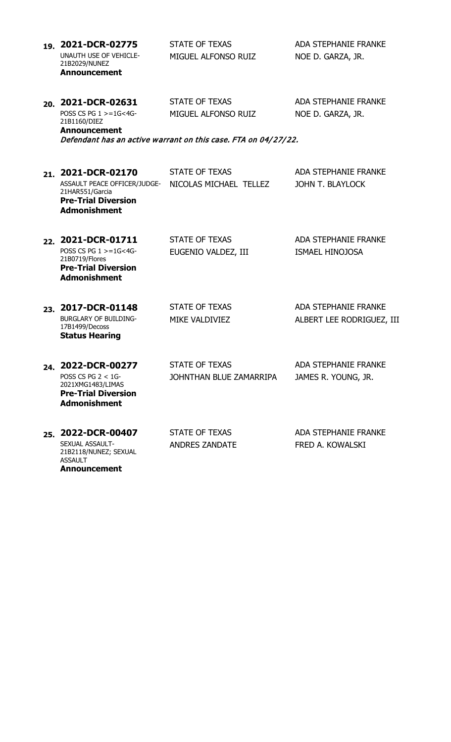|     | 19. 2021-DCR-02775<br>UNAUTH USE OF VEHICLE-                                                         | <b>STATE OF TEXAS</b><br>MIGUEL ALFONSO RUIZ                   | <b>ADA STEPHANIE FRANKE</b><br>NOE D. GARZA, JR. |
|-----|------------------------------------------------------------------------------------------------------|----------------------------------------------------------------|--------------------------------------------------|
|     | 21B2029/NUNEZ<br><b>Announcement</b>                                                                 |                                                                |                                                  |
|     | 20. 2021-DCR-02631                                                                                   | <b>STATE OF TEXAS</b>                                          | <b>ADA STEPHANIE FRANKE</b>                      |
|     | POSS CS PG $1 > = 1$ G<4G-<br>21B1160/DIEZ                                                           | MIGUEL ALFONSO RUIZ                                            | NOE D. GARZA, JR.                                |
|     | <b>Announcement</b>                                                                                  | Defendant has an active warrant on this case. FTA on 04/27/22. |                                                  |
|     | 21. 2021-DCR-02170                                                                                   | <b>STATE OF TEXAS</b>                                          | <b>ADA STEPHANIE FRANKE</b>                      |
|     | ASSAULT PEACE OFFICER/JUDGE-<br>21HAR551/Garcia<br><b>Pre-Trial Diversion</b><br><b>Admonishment</b> | NICOLAS MICHAEL TELLEZ                                         | <b>JOHN T. BLAYLOCK</b>                          |
|     | 22. 2021-DCR-01711                                                                                   | <b>STATE OF TEXAS</b>                                          | <b>ADA STEPHANIE FRANKE</b>                      |
|     | POSS CS PG 1 >=1G<4G-<br>21B0719/Flores<br><b>Pre-Trial Diversion</b><br><b>Admonishment</b>         | EUGENIO VALDEZ, III                                            | <b>ISMAEL HINOJOSA</b>                           |
|     | 23. 2017-DCR-01148                                                                                   | <b>STATE OF TEXAS</b>                                          | <b>ADA STEPHANIE FRANKE</b>                      |
|     | <b>BURGLARY OF BUILDING-</b><br>17B1499/Decoss<br><b>Status Hearing</b>                              | MIKE VALDIVIEZ                                                 | ALBERT LEE RODRIGUEZ, III                        |
|     | 24. 2022-DCR-00277                                                                                   | <b>STATE OF TEXAS</b>                                          | <b>ADA STEPHANIE FRANKE</b>                      |
|     | POSS CS PG $2 < 1$ G-<br>2021XMG1483/LIMAS<br><b>Pre-Trial Diversion</b><br><b>Admonishment</b>      | JOHNTHAN BLUE ZAMARRIPA                                        | JAMES R. YOUNG, JR.                              |
| 25. | 2022-DCR-00407                                                                                       | <b>STATE OF TEXAS</b>                                          | <b>ADA STEPHANIE FRANKE</b>                      |
|     | SEXUAL ASSAULT-<br>21B2118/NUNEZ; SEXUAL<br><b>ASSAULT</b><br><b>Announcement</b>                    | <b>ANDRES ZANDATE</b>                                          | FRED A. KOWALSKI                                 |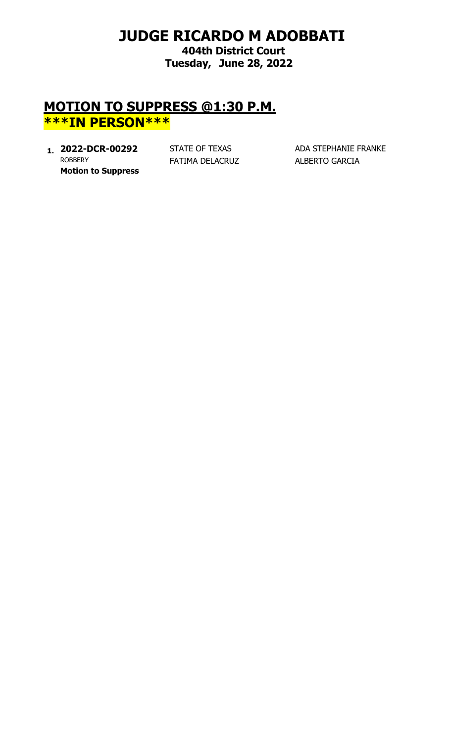# **JUDGE RICARDO M ADOBBATI**

**404th District Court Tuesday, June 28, 2022**

### **MOTION TO SUPPRESS @1:30 P.M. \*\*\*IN PERSON\*\*\***

**1. 2022-DCR-00292** STATE OF TEXAS ADA STEPHANIE FRANKE<br>ROBBERY **FATIMA DELACRUZ** ALBERTO GARCIA **Motion to Suppress**

FATIMA DELACRUZ ALBERTO GARCIA